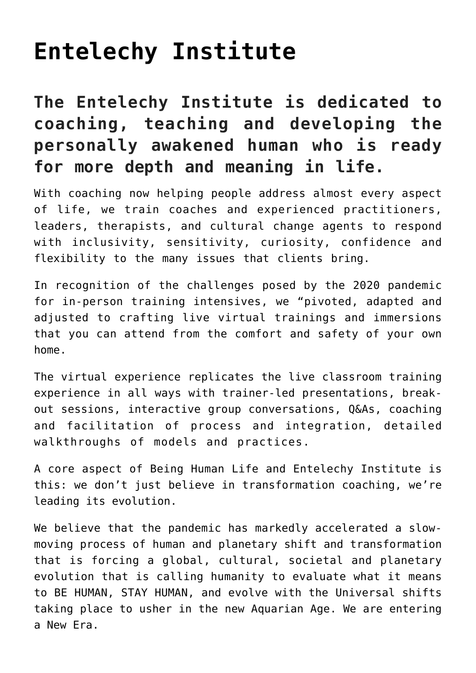# **[Entelechy Institute](https://beinghumanlife.com/entelechy-institute/)**

# **The Entelechy Institute is dedicated to coaching, teaching and developing the personally awakened human who is ready for more depth and meaning in life.**

With coaching now helping people address almost every aspect of life, we train coaches and experienced practitioners, leaders, therapists, and cultural change agents to respond with inclusivity, sensitivity, curiosity, confidence and flexibility to the many issues that clients bring.

In recognition of the challenges posed by the 2020 pandemic for in-person training intensives, we "pivoted, adapted and adjusted to crafting live virtual trainings and immersions that you can attend from the comfort and safety of your own home.

The virtual experience replicates the live classroom training experience in all ways with trainer-led presentations, breakout sessions, interactive group conversations, Q&As, coaching and facilitation of process and integration, detailed walkthroughs of models and practices.

A core aspect of Being Human Life and Entelechy Institute is this: we don't just believe in transformation coaching, we're leading its evolution.

We believe that the pandemic has markedly accelerated a slowmoving process of human and planetary shift and transformation that is forcing a global, cultural, societal and planetary evolution that is calling humanity to evaluate what it means to BE HUMAN, STAY HUMAN, and evolve with the Universal shifts taking place to usher in the new Aquarian Age. We are entering a New Era.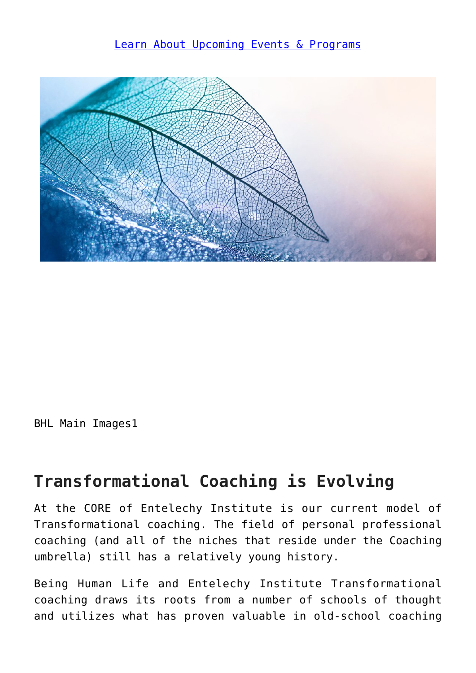#### [Learn About Upcoming Events & Programs](http://beinghumanlife.com/events/)



BHL Main Images1

#### **Transformational Coaching is Evolving**

At the CORE of Entelechy Institute is our current model of Transformational coaching. The field of personal professional coaching (and all of the niches that reside under the Coaching umbrella) still has a relatively young history.

Being Human Life and Entelechy Institute Transformational coaching draws its roots from a number of schools of thought and utilizes what has proven valuable in old-school coaching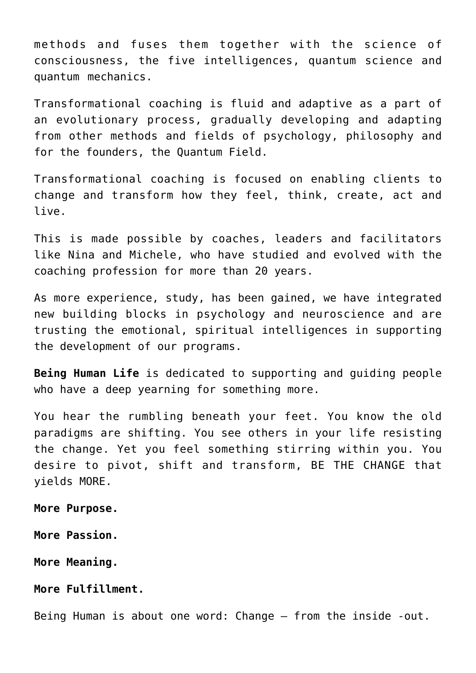methods and fuses them together with the science of consciousness, the five intelligences, quantum science and quantum mechanics.

Transformational coaching is fluid and adaptive as a part of an evolutionary process, gradually developing and adapting from other methods and fields of psychology, philosophy and for the founders, the Quantum Field.

Transformational coaching is focused on enabling clients to change and transform how they feel, think, create, act and live.

This is made possible by coaches, leaders and facilitators like Nina and Michele, who have studied and evolved with the coaching profession for more than 20 years.

As more experience, study, has been gained, we have integrated new building blocks in psychology and neuroscience and are trusting the emotional, spiritual intelligences in supporting the development of our programs.

**Being Human Life** is dedicated to supporting and guiding people who have a deep vearning for something more.

You hear the rumbling beneath your feet. You know the old paradigms are shifting. You see others in your life resisting the change. Yet you feel something stirring within you. You desire to pivot, shift and transform, BE THE CHANGE that yields MORE.

**More Purpose.**

**More Passion.**

**More Meaning.**

**More Fulfillment.**

Being Human is about one word: Change – from the inside -out.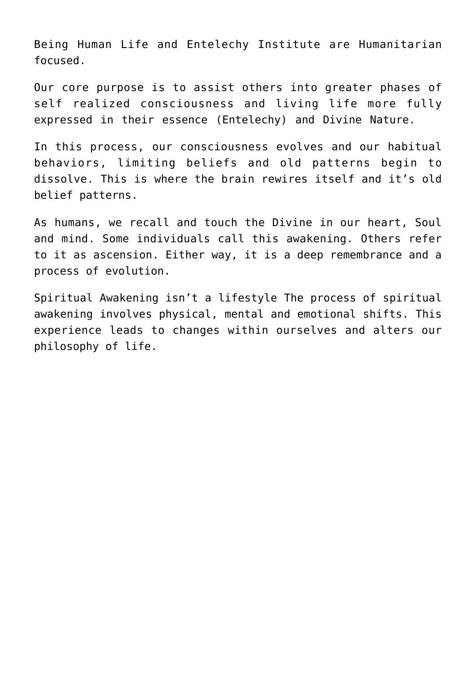Being Human Life and Entelechy Institute are Humanitarian focused.

Our core purpose is to assist others into greater phases of self realized consciousness and living life more fully expressed in their essence (Entelechy) and Divine Nature.

In this process, our consciousness evolves and our habitual behaviors, limiting beliefs and old patterns begin to dissolve. This is where the brain rewires itself and it's old belief patterns.

As humans, we recall and touch the Divine in our heart, Soul and mind. Some individuals call this awakening. Others refer to it as ascension. Either way, it is a deep remembrance and a process of evolution.

Spiritual Awakening isn't a lifestyle The process of spiritual awakening involves physical, mental and emotional shifts. This experience leads to changes within ourselves and alters our philosophy of life.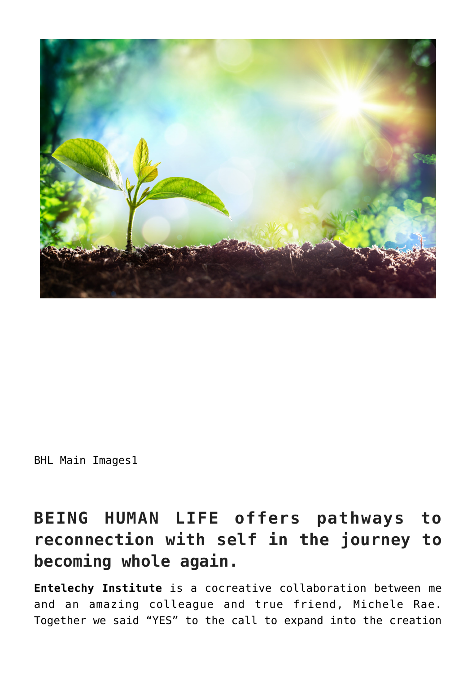

BHL Main Images1

# **BEING HUMAN LIFE offers pathways to reconnection with self in the journey to becoming whole again.**

**Entelechy Institute** is a cocreative collaboration between me and an amazing colleague and true friend, Michele Rae. Together we said "YES" to the call to expand into the creation